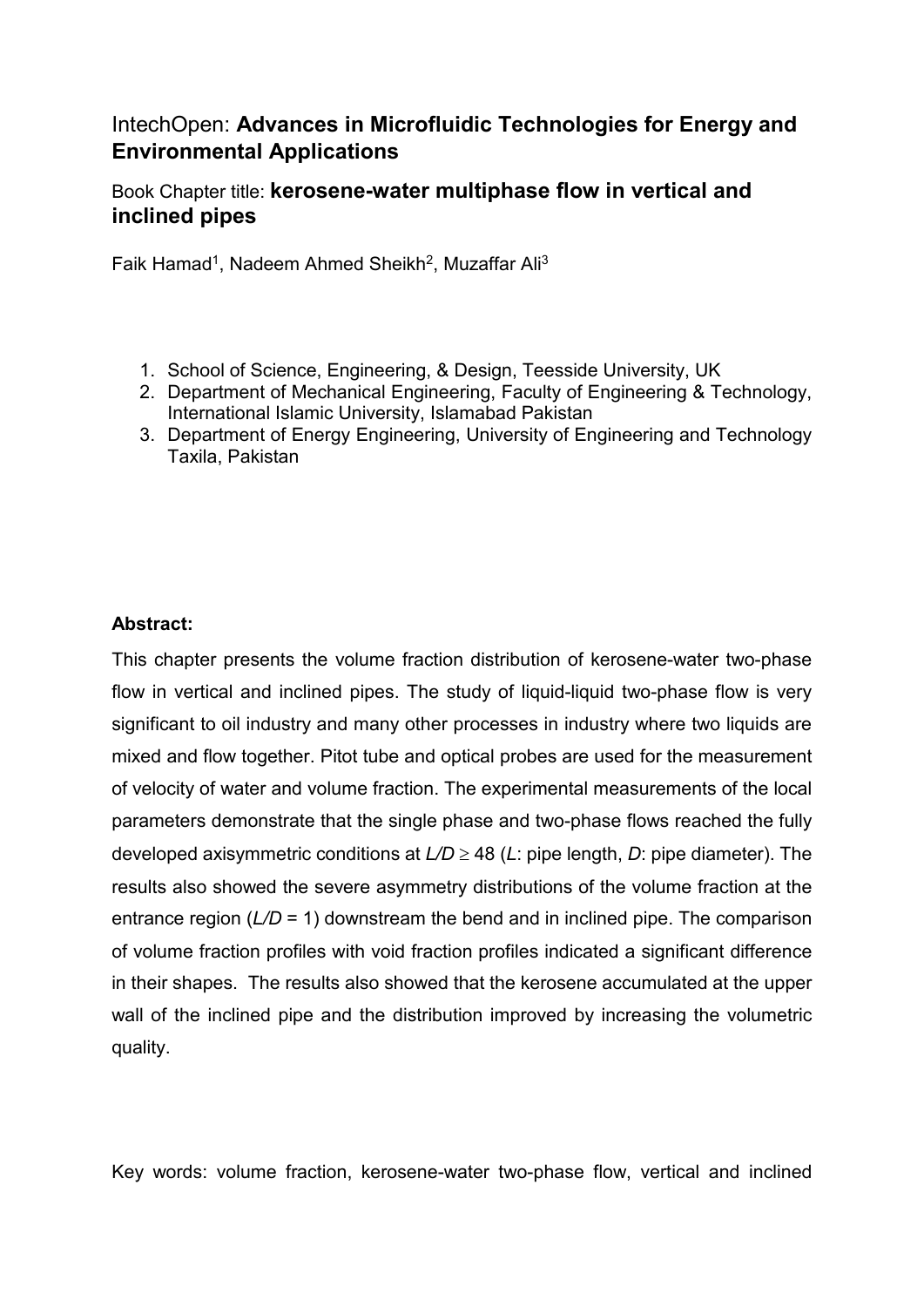# IntechOpen: **Advances in Microfluidic Technologies for Energy and Environmental Applications**

## Book Chapter title: **kerosene-water multiphase flow in vertical and inclined pipes**

Faik Hamad<sup>1</sup>, Nadeem Ahmed Sheikh<sup>2</sup>, Muzaffar Ali<sup>3</sup>

- 1. School of Science, Engineering, & Design, Teesside University, UK
- 2. Department of Mechanical Engineering, Faculty of Engineering & Technology, International Islamic University, Islamabad Pakistan
- 3. Department of Energy Engineering, University of Engineering and Technology Taxila, Pakistan

#### **Abstract:**

This chapter presents the volume fraction distribution of kerosene-water two-phase flow in vertical and inclined pipes. The study of liquid-liquid two-phase flow is very significant to oil industry and many other processes in industry where two liquids are mixed and flow together. Pitot tube and optical probes are used for the measurement of velocity of water and volume fraction. The experimental measurements of the local parameters demonstrate that the single phase and two-phase flows reached the fully developed axisymmetric conditions at *L/D* ≥ 48 (*L*: pipe length, *D*: pipe diameter). The results also showed the severe asymmetry distributions of the volume fraction at the entrance region ( $L/D = 1$ ) downstream the bend and in inclined pipe. The comparison of volume fraction profiles with void fraction profiles indicated a significant difference in their shapes. The results also showed that the kerosene accumulated at the upper wall of the inclined pipe and the distribution improved by increasing the volumetric quality.

Key words: volume fraction, kerosene-water two-phase flow, vertical and inclined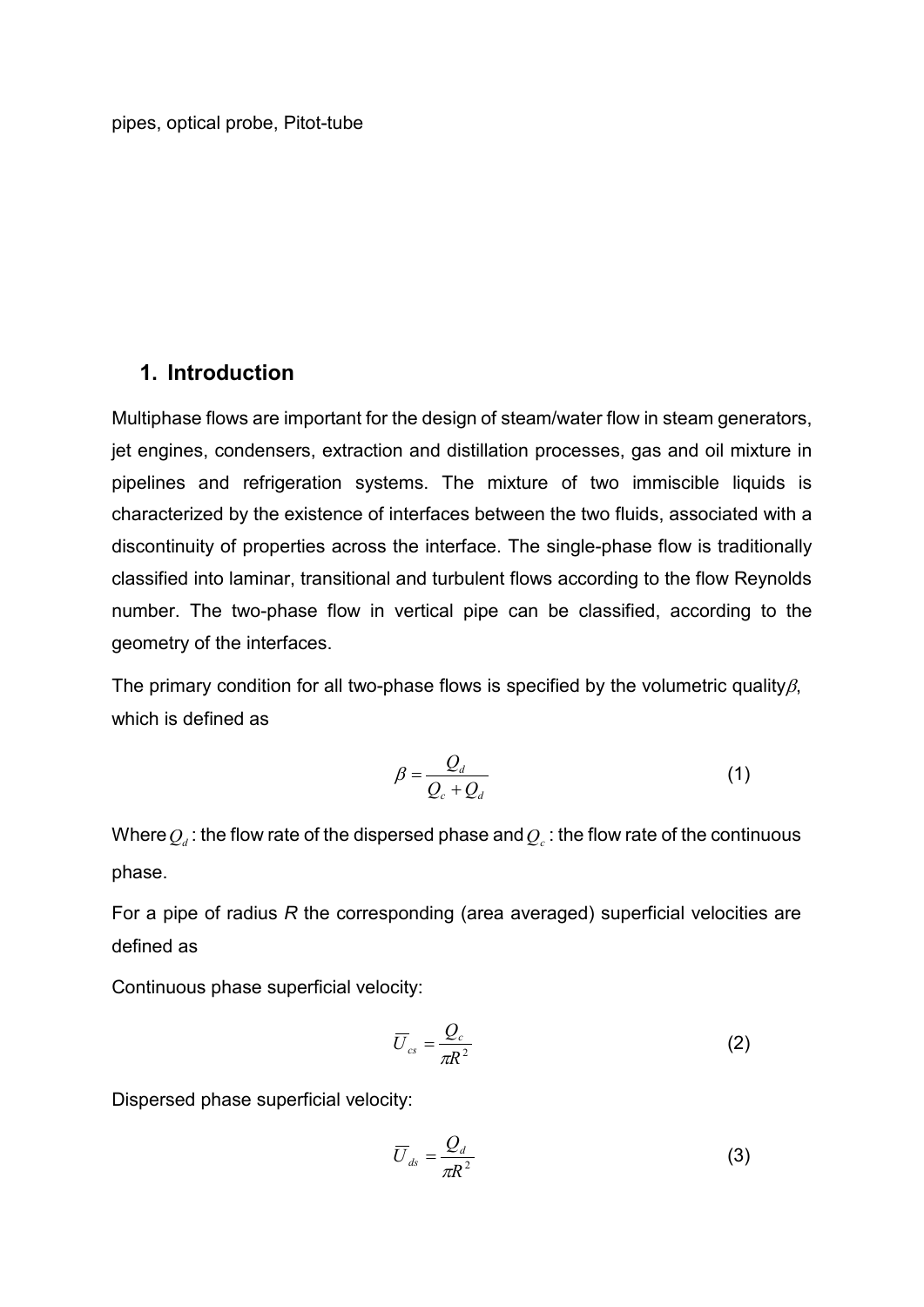### **1. Introduction**

Multiphase flows are important for the design of steam/water flow in steam generators, jet engines, condensers, extraction and distillation processes, gas and oil mixture in pipelines and refrigeration systems. The mixture of two immiscible liquids is characterized by the existence of interfaces between the two fluids, associated with a discontinuity of properties across the interface. The single-phase flow is traditionally classified into laminar, transitional and turbulent flows according to the flow Reynolds number. The two-phase flow in vertical pipe can be classified, according to the geometry of the interfaces.

The primary condition for all two-phase flows is specified by the volumetric quality $\beta$ , which is defined as

$$
\beta = \frac{Q_d}{Q_c + Q_d} \tag{1}
$$

Where  $Q_d$ : the flow rate of the dispersed phase and  $Q_c$ : the flow rate of the continuous phase.

For a pipe of radius *R* the corresponding (area averaged) superficial velocities are defined as

Continuous phase superficial velocity:

$$
\overline{U}_{cs} = \frac{Q_c}{\pi R^2} \tag{2}
$$

Dispersed phase superficial velocity:

$$
\overline{U}_{ds} = \frac{Q_d}{\pi R^2} \tag{3}
$$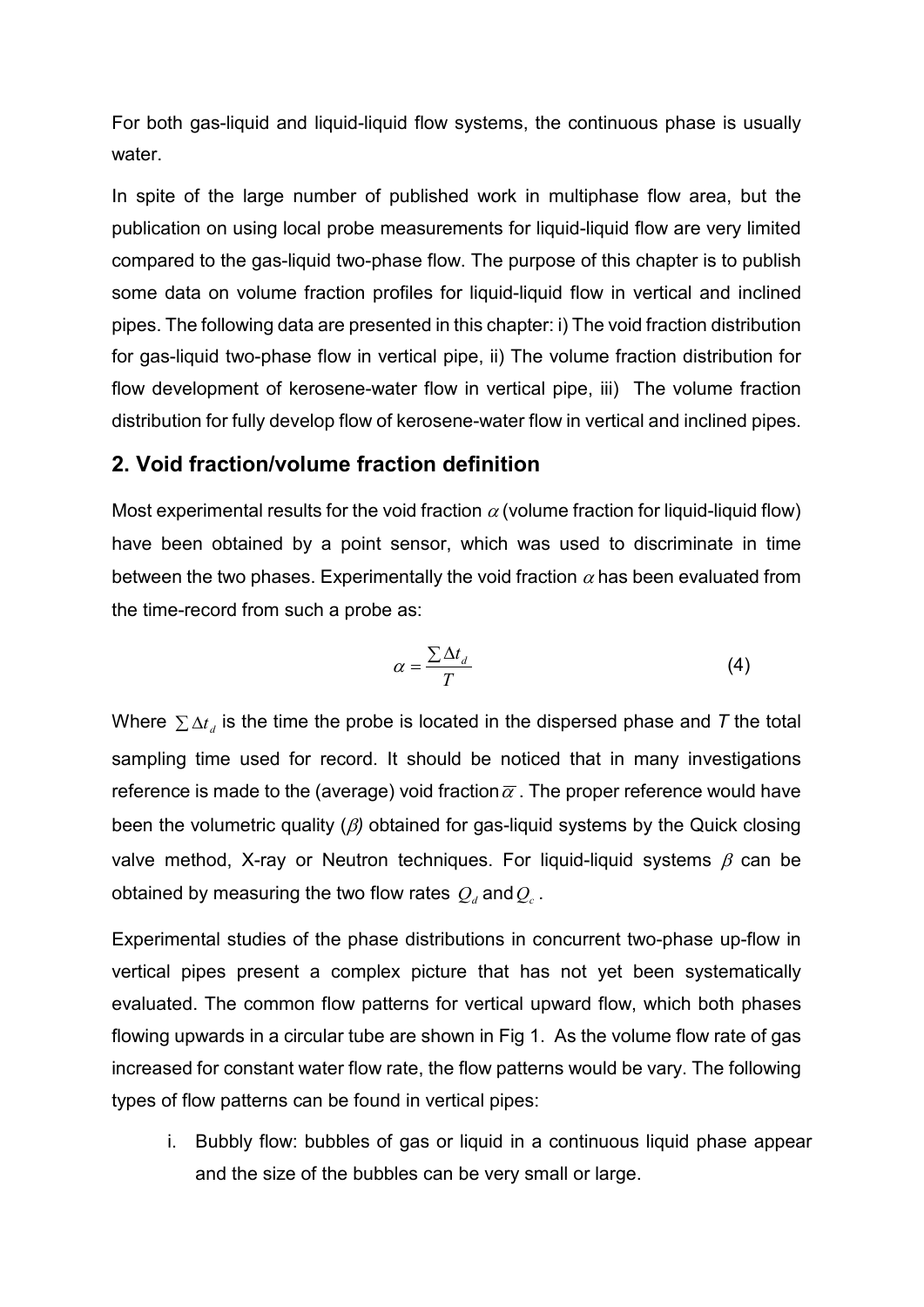For both gas-liquid and liquid-liquid flow systems, the continuous phase is usually water.

In spite of the large number of published work in multiphase flow area, but the publication on using local probe measurements for liquid-liquid flow are very limited compared to the gas-liquid two-phase flow. The purpose of this chapter is to publish some data on volume fraction profiles for liquid-liquid flow in vertical and inclined pipes. The following data are presented in this chapter: i) The void fraction distribution for gas-liquid two-phase flow in vertical pipe, ii) The volume fraction distribution for flow development of kerosene-water flow in vertical pipe, iii) The volume fraction distribution for fully develop flow of kerosene-water flow in vertical and inclined pipes.

### **2. Void fraction/volume fraction definition**

Most experimental results for the void fraction  $\alpha$  (volume fraction for liquid-liquid flow) have been obtained by a point sensor, which was used to discriminate in time between the two phases. Experimentally the void fraction  $\alpha$  has been evaluated from the time-record from such a probe as:

$$
\alpha = \frac{\sum \Delta t_d}{T} \tag{4}
$$

Where  $\sum \Delta t_i$  is the time the probe is located in the dispersed phase and *T* the total sampling time used for record. It should be noticed that in many investigations reference is made to the (average) void fraction  $\bar{\alpha}$ . The proper reference would have been the volumetric quality (β*)* obtained for gas-liquid systems by the Quick closing valve method, X-ray or Neutron techniques. For liquid-liquid systems  $\beta$  can be obtained by measuring the two flow rates  $Q_d$  and  $Q_c$ .

Experimental studies of the phase distributions in concurrent two-phase up-flow in vertical pipes present a complex picture that has not yet been systematically evaluated. The common flow patterns for vertical upward flow, which both phases flowing upwards in a circular tube are shown in Fig 1. As the volume flow rate of gas increased for constant water flow rate, the flow patterns would be vary. The following types of flow patterns can be found in vertical pipes:

i. Bubbly flow: bubbles of gas or liquid in a continuous liquid phase appear and the size of the bubbles can be very small or large.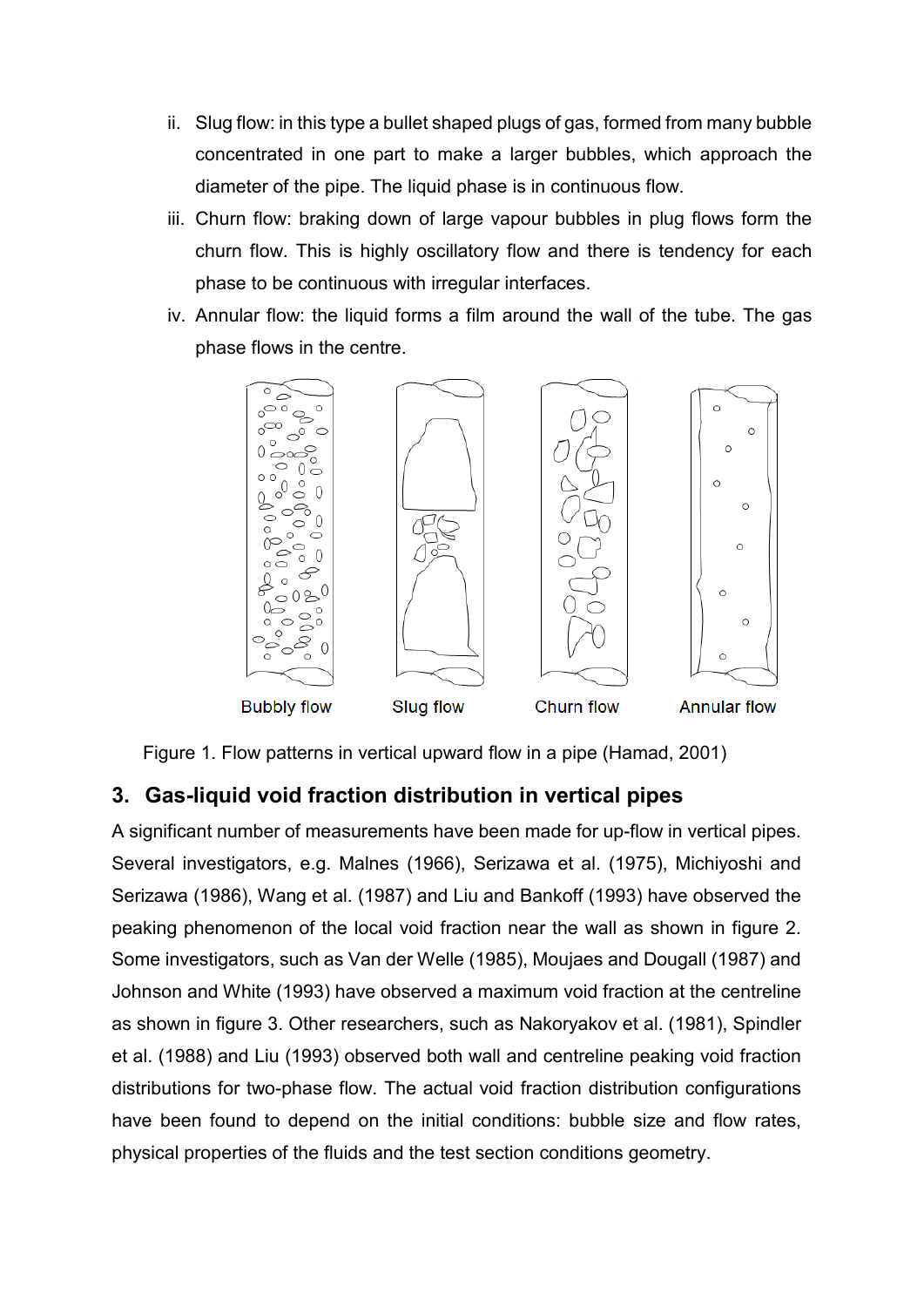- ii. Slug flow: in this type a bullet shaped plugs of gas, formed from many bubble concentrated in one part to make a larger bubbles, which approach the diameter of the pipe. The liquid phase is in continuous flow.
- iii. Churn flow: braking down of large vapour bubbles in plug flows form the churn flow. This is highly oscillatory flow and there is tendency for each phase to be continuous with irregular interfaces.
- iv. Annular flow: the liquid forms a film around the wall of the tube. The gas phase flows in the centre.



Figure 1. Flow patterns in vertical upward flow in a pipe (Hamad, 2001)

# **3. Gas-liquid void fraction distribution in vertical pipes**

A significant number of measurements have been made for up-flow in vertical pipes. Several investigators, e.g. Malnes (1966), Serizawa et al. (1975), Michiyoshi and Serizawa (1986), Wang et al. (1987) and Liu and Bankoff (1993) have observed the peaking phenomenon of the local void fraction near the wall as shown in figure 2. Some investigators, such as Van der Welle (1985), Moujaes and Dougall (1987) and Johnson and White (1993) have observed a maximum void fraction at the centreline as shown in figure 3. Other researchers, such as Nakoryakov et al. (1981), Spindler et al. (1988) and Liu (1993) observed both wall and centreline peaking void fraction distributions for two-phase flow. The actual void fraction distribution configurations have been found to depend on the initial conditions: bubble size and flow rates, physical properties of the fluids and the test section conditions geometry.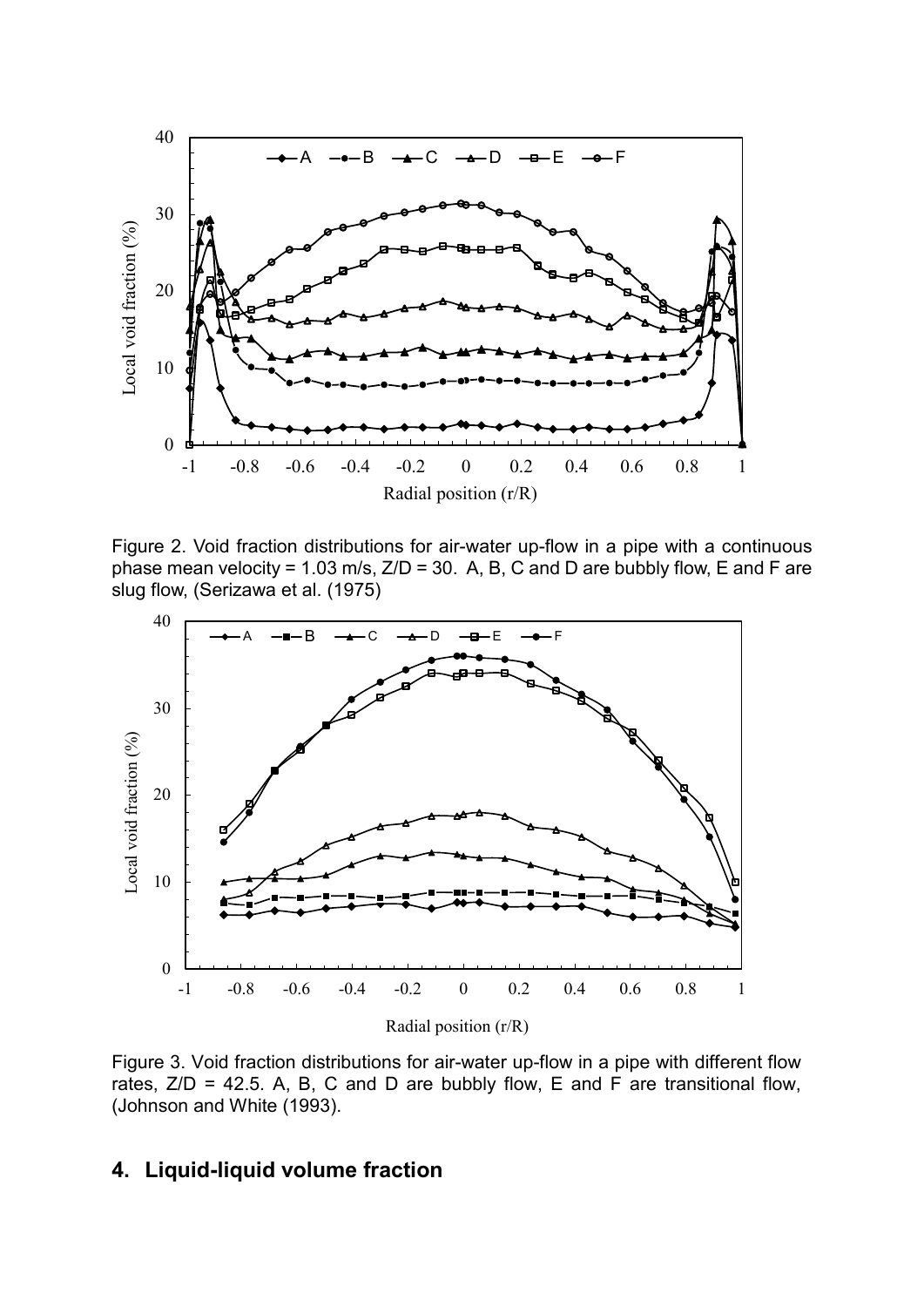

Figure 2. Void fraction distributions for air-water up-flow in a pipe with a continuous phase mean velocity = 1.03 m/s,  $Z/D = 30$ . A, B, C and D are bubbly flow, E and F are slug flow, (Serizawa et al. (1975)



Figure 3. Void fraction distributions for air-water up-flow in a pipe with different flow rates,  $Z/D = 42.5$ . A, B, C and D are bubbly flow, E and F are transitional flow, (Johnson and White (1993).

## **4. Liquid-liquid volume fraction**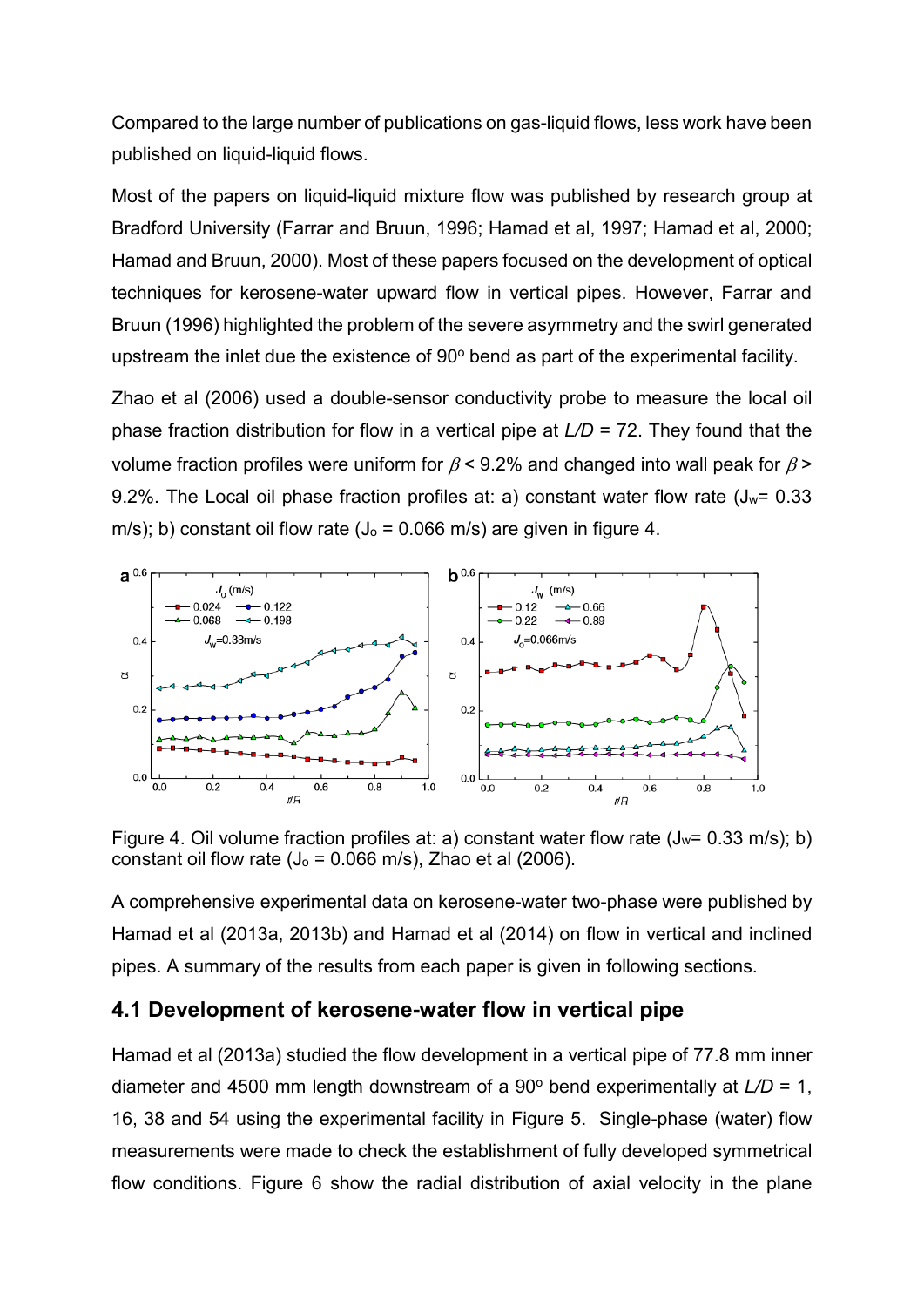Compared to the large number of publications on gas-liquid flows, less work have been published on liquid-liquid flows.

Most of the papers on liquid-liquid mixture flow was published by research group at Bradford University (Farrar and Bruun, 1996; Hamad et al, 1997; Hamad et al, 2000; Hamad and Bruun, 2000). Most of these papers focused on the development of optical techniques for kerosene-water upward flow in vertical pipes. However, Farrar and Bruun (1996) highlighted the problem of the severe asymmetry and the swirl generated upstream the inlet due the existence of  $90^\circ$  bend as part of the experimental facility.

Zhao et al (2006) used a double-sensor conductivity probe to measure the local oil phase fraction distribution for flow in a vertical pipe at *L/D* = 72. They found that the volume fraction profiles were uniform for  $\beta$  < 9.2% and changed into wall peak for  $\beta$  > 9.2%. The Local oil phase fraction profiles at: a) constant water flow rate  $(J_w= 0.33$ m/s); b) constant oil flow rate ( $J_0$  = 0.066 m/s) are given in figure 4.



Figure 4. Oil volume fraction profiles at: a) constant water flow rate  $(J_w= 0.33 \text{ m/s})$ ; b) constant oil flow rate ( $J_0$  = 0.066 m/s), Zhao et al (2006).

A comprehensive experimental data on kerosene-water two-phase were published by Hamad et al (2013a, 2013b) and Hamad et al (2014) on flow in vertical and inclined pipes. A summary of the results from each paper is given in following sections.

### **4.1 Development of kerosene-water flow in vertical pipe**

Hamad et al (2013a) studied the flow development in a vertical pipe of 77.8 mm inner diameter and 4500 mm length downstream of a 90 $^{\circ}$  bend experimentally at  $L/D = 1$ , 16, 38 and 54 using the experimental facility in Figure 5. Single-phase (water) flow measurements were made to check the establishment of fully developed symmetrical flow conditions. Figure 6 show the radial distribution of axial velocity in the plane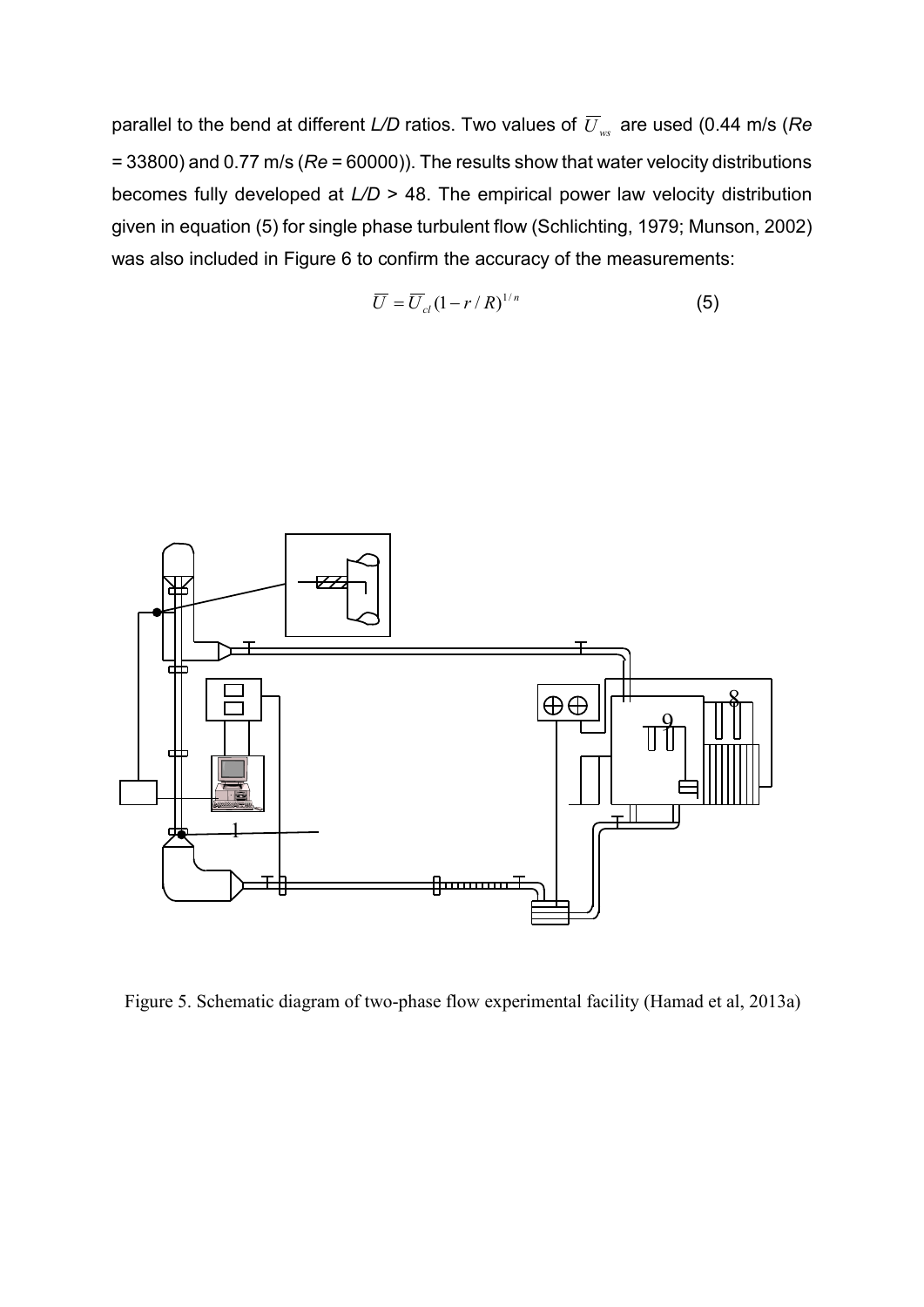parallel to the bend at different *L/D* ratios. Two values of  $\overline{U}_{ws}$  are used (0.44 m/s (*Re* = 33800) and 0.77 m/s (*Re* = 60000)). The results show that water velocity distributions becomes fully developed at *L/D* > 48. The empirical power law velocity distribution given in equation (5) for single phase turbulent flow (Schlichting, 1979; Munson, 2002) was also included in Figure 6 to confirm the accuracy of the measurements:

$$
\overline{U} = \overline{U}_{cl} (1 - r/R)^{1/n} \tag{5}
$$



Figure 5. Schematic diagram of two-phase flow experimental facility (Hamad et al, 2013a)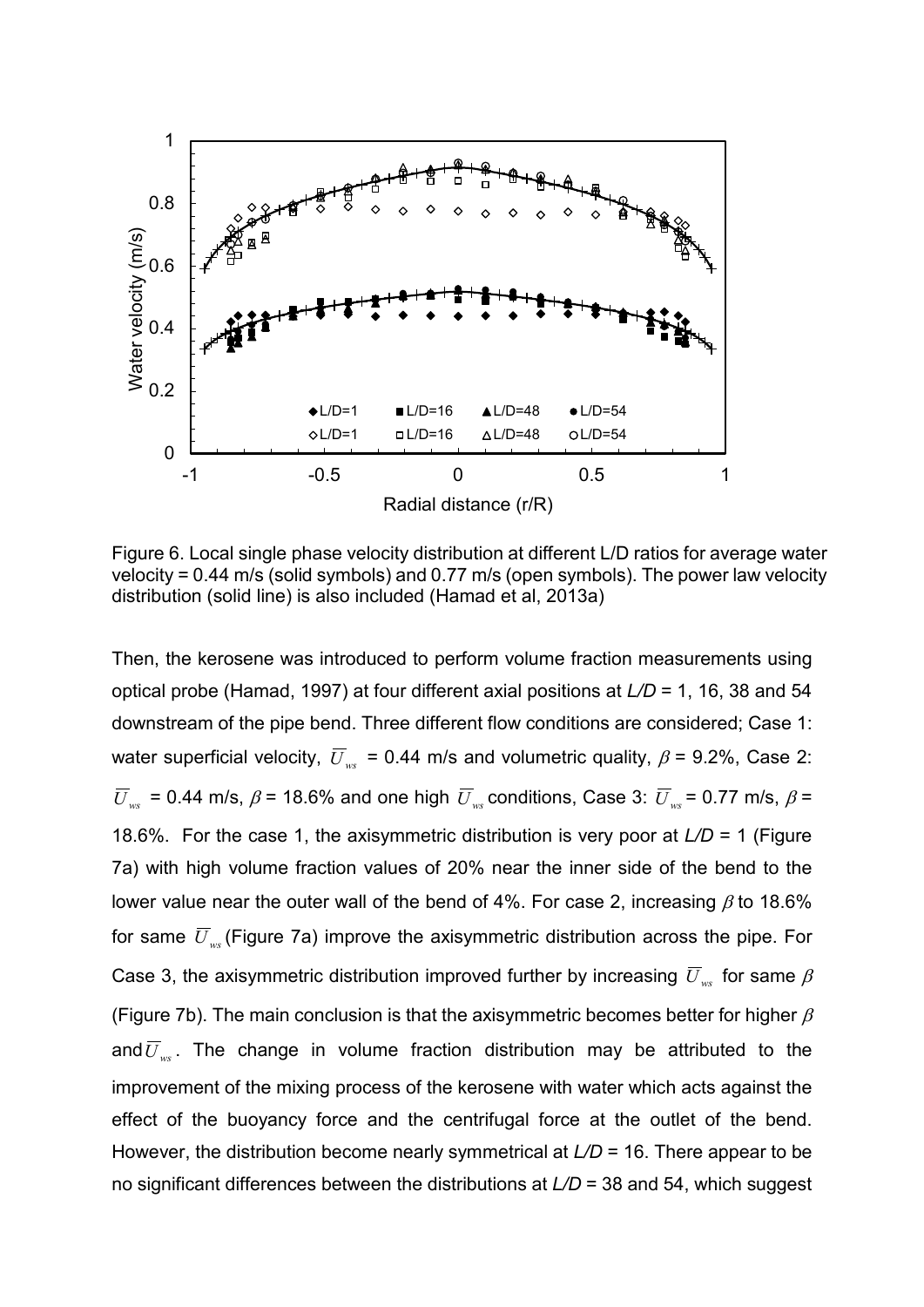

Figure 6. Local single phase velocity distribution at different L/D ratios for average water velocity = 0.44 m/s (solid symbols) and 0.77 m/s (open symbols). The power law velocity distribution (solid line) is also included (Hamad et al, 2013a)

Then, the kerosene was introduced to perform volume fraction measurements using optical probe (Hamad, 1997) at four different axial positions at *L/D* = 1, 16, 38 and 54 downstream of the pipe bend. Three different flow conditions are considered; Case 1: water superficial velocity,  $\overline{U}_{\text{wc}}$  = 0.44 m/s and volumetric quality,  $\beta$  = 9.2%, Case 2:  $\overline{U}_{ws}$  = 0.44 m/s,  $\beta$  = 18.6% and one high  $\overline{U}_{ws}$  conditions, Case 3:  $\overline{U}_{ws}$  = 0.77 m/s,  $\beta$  = 18.6%. For the case 1, the axisymmetric distribution is very poor at *L/D* = 1 (Figure 7a) with high volume fraction values of 20% near the inner side of the bend to the lower value near the outer wall of the bend of 4%. For case 2, increasing  $\beta$  to 18.6% for same  $\overline{U}_{\text{wc}}$  (Figure 7a) improve the axisymmetric distribution across the pipe. For Case 3, the axisymmetric distribution improved further by increasing  $\overline{U}_{ws}$  for same  $\beta$ (Figure 7b). The main conclusion is that the axisymmetric becomes better for higher  $\beta$ and  $\overline{U}_{\text{ws}}$ . The change in volume fraction distribution may be attributed to the improvement of the mixing process of the kerosene with water which acts against the effect of the buoyancy force and the centrifugal force at the outlet of the bend. However, the distribution become nearly symmetrical at *L/D* = 16. There appear to be no significant differences between the distributions at *L/D* = 38 and 54, which suggest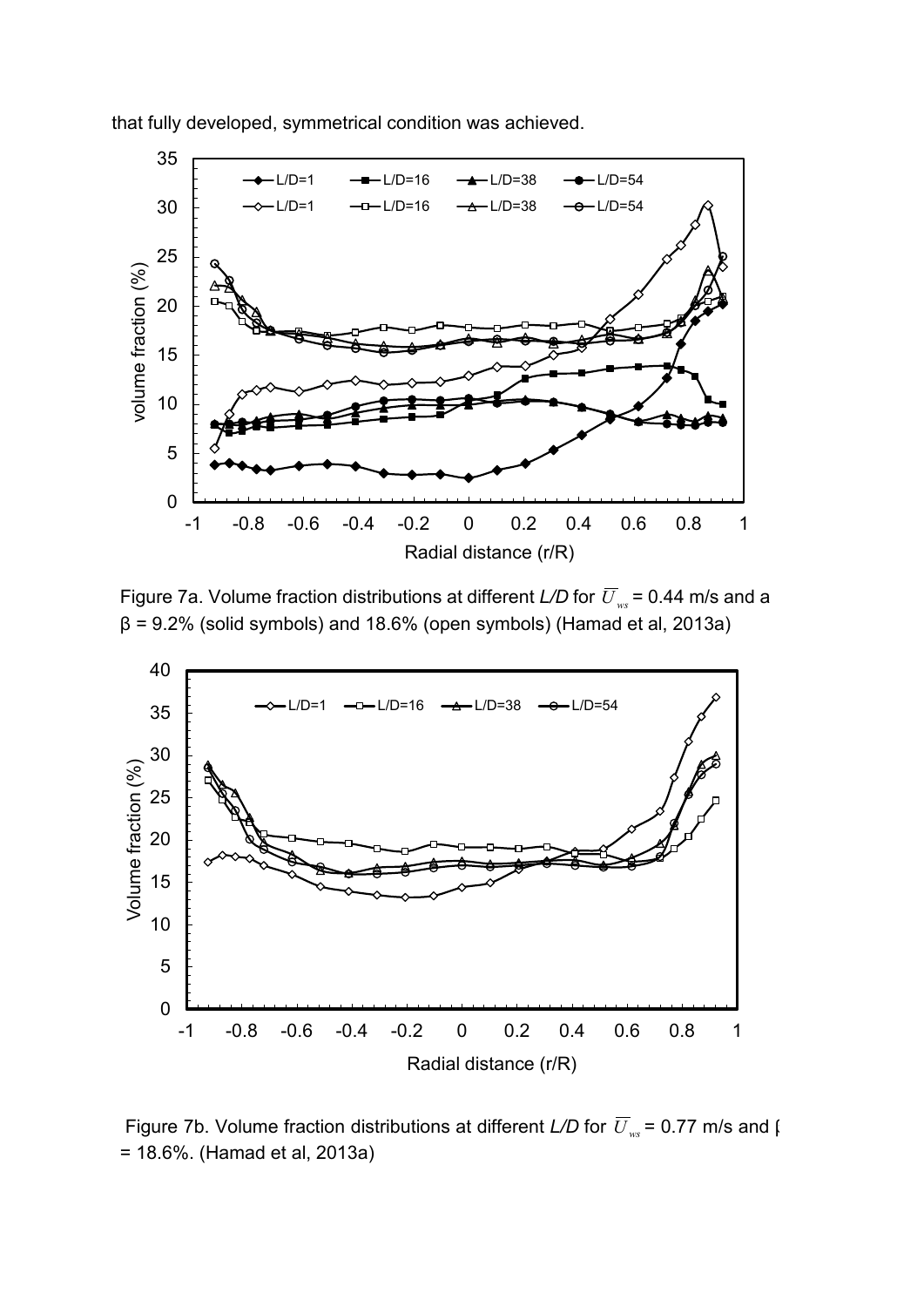that fully developed, symmetrical condition was achieved.



Figure 7a. Volume fraction distributions at different *L/D* for  $\overline{U}_{ws}$  = 0.44 m/s and a  $β = 9.2%$  (solid symbols) and 18.6% (open symbols) (Hamad et al, 2013a)



Figure 7b. Volume fraction distributions at different *L/D* for  $\overline{U}_{ws}$  = 0.77 m/s and  $\overline{V}_{ws}$ = 18.6%. (Hamad et al, 2013a)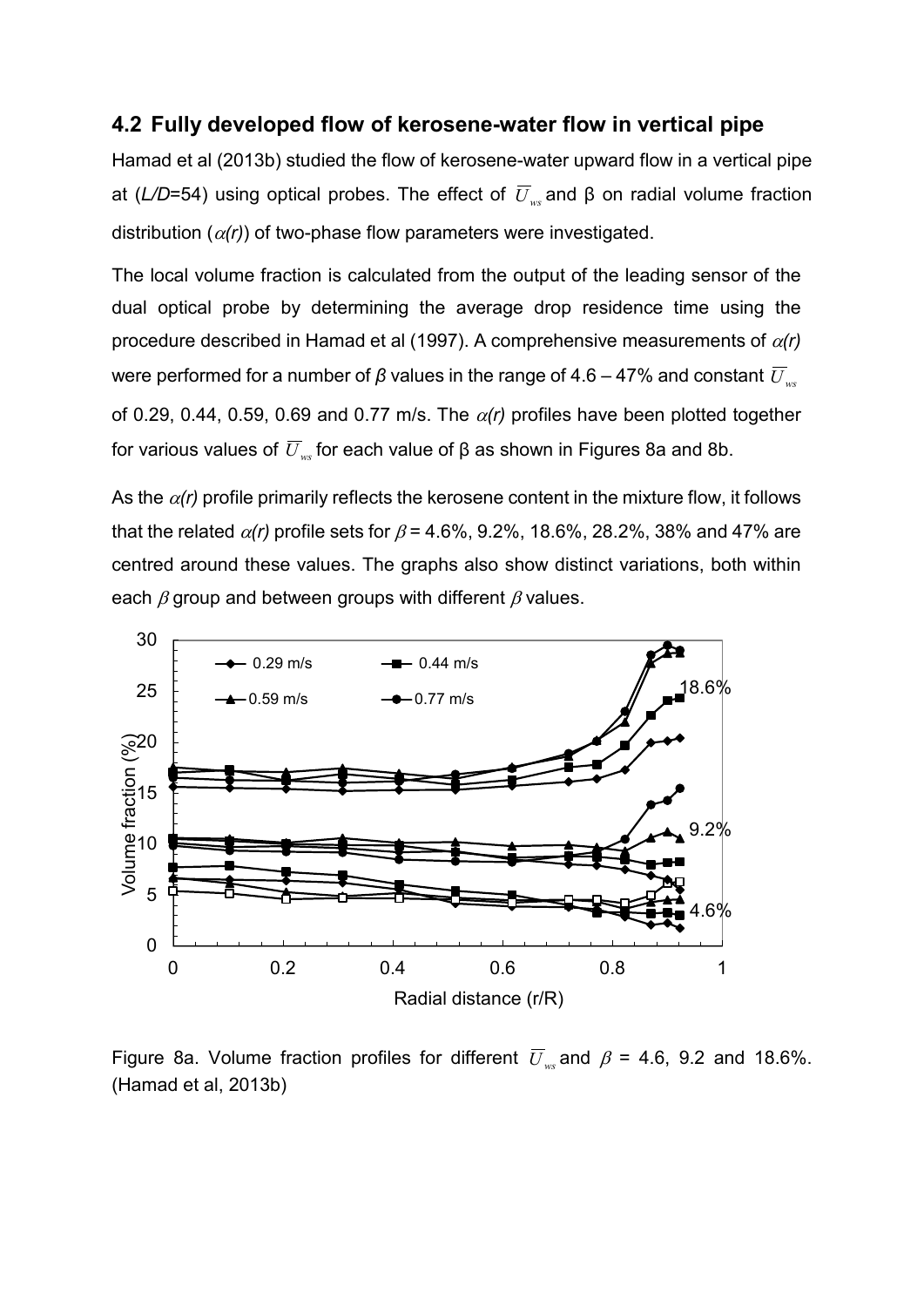#### **4.2 Fully developed flow of kerosene-water flow in vertical pipe**

Hamad et al (2013b) studied the flow of kerosene-water upward flow in a vertical pipe at ( $L/D$ =54) using optical probes. The effect of  $\overline{U}_w$  and β on radial volume fraction distribution  $(\alpha(r))$  of two-phase flow parameters were investigated.

The local volume fraction is calculated from the output of the leading sensor of the dual optical probe by determining the average drop residence time using the procedure described in Hamad et al (1997). A comprehensive measurements of α*(r)* were performed for a number of *β* values in the range of 4.6 – 47% and constant  $\overline{U}_{ws}$ of 0.29, 0.44, 0.59, 0.69 and 0.77 m/s. The  $\alpha(r)$  profiles have been plotted together for various values of  $\overline{U}_{ws}$  for each value of β as shown in Figures 8a and 8b.

As the  $\alpha(r)$  profile primarily reflects the kerosene content in the mixture flow, it follows that the related  $\alpha(r)$  profile sets for  $\beta$  = 4.6%, 9.2%, 18.6%, 28.2%, 38% and 47% are centred around these values. The graphs also show distinct variations, both within each  $\beta$  group and between groups with different  $\beta$  values.



Figure 8a. Volume fraction profiles for different  $\overline{U}_{\text{ws}}$  and  $\beta$  = 4.6, 9.2 and 18.6%. (Hamad et al, 2013b)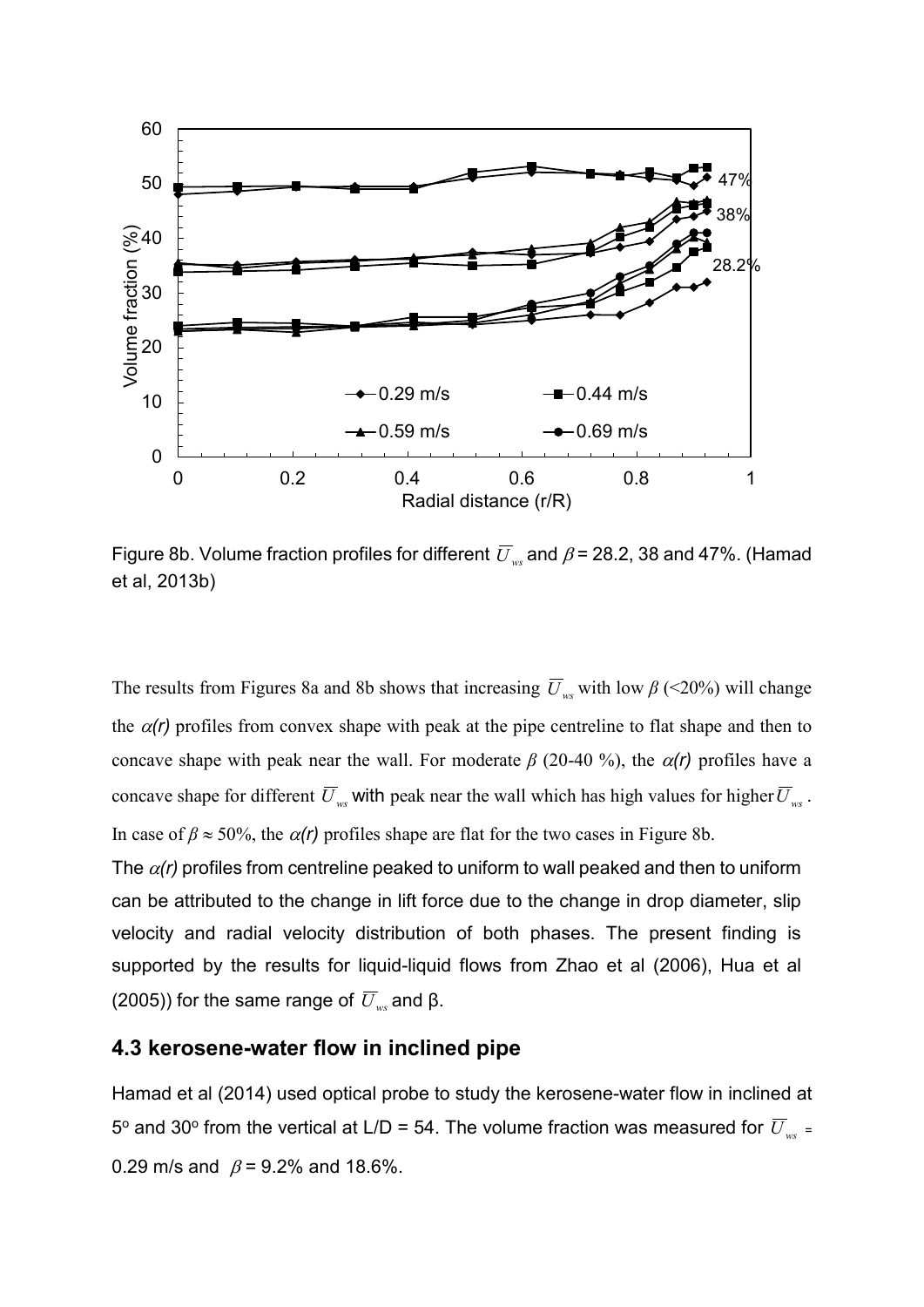

Figure 8b. Volume fraction profiles for different  $\overline{U}_{ws}$  and  $\beta$  = 28.2, 38 and 47%. (Hamad et al, 2013b)

The results from Figures 8a and 8b shows that increasing  $\overline{U}_{ws}$  with low  $\beta$  (<20%) will change the  $\alpha(r)$  profiles from convex shape with peak at the pipe centreline to flat shape and then to concave shape with peak near the wall. For moderate  $\beta$  (20-40 %), the  $\alpha(r)$  profiles have a concave shape for different  $\overline{U}_{ws}$  with peak near the wall which has high values for higher  $\overline{U}_{ws}$ . In case of  $\beta \approx 50\%$ , the  $\alpha(r)$  profiles shape are flat for the two cases in Figure 8b.

The  $\alpha(r)$  profiles from centreline peaked to uniform to wall peaked and then to uniform can be attributed to the change in lift force due to the change in drop diameter, slip velocity and radial velocity distribution of both phases. The present finding is supported by the results for liquid-liquid flows from Zhao et al (2006), Hua et al (2005)) for the same range of  $\overline{U}_{ws}$  and β.

### **4.3 kerosene-water flow in inclined pipe**

Hamad et al (2014) used optical probe to study the kerosene-water flow in inclined at 5<sup>o</sup> and 30<sup>o</sup> from the vertical at L/D = 54. The volume fraction was measured for  $\overline{U}_{ws}$  = 0.29 m/s and  $\beta$  = 9.2% and 18.6%.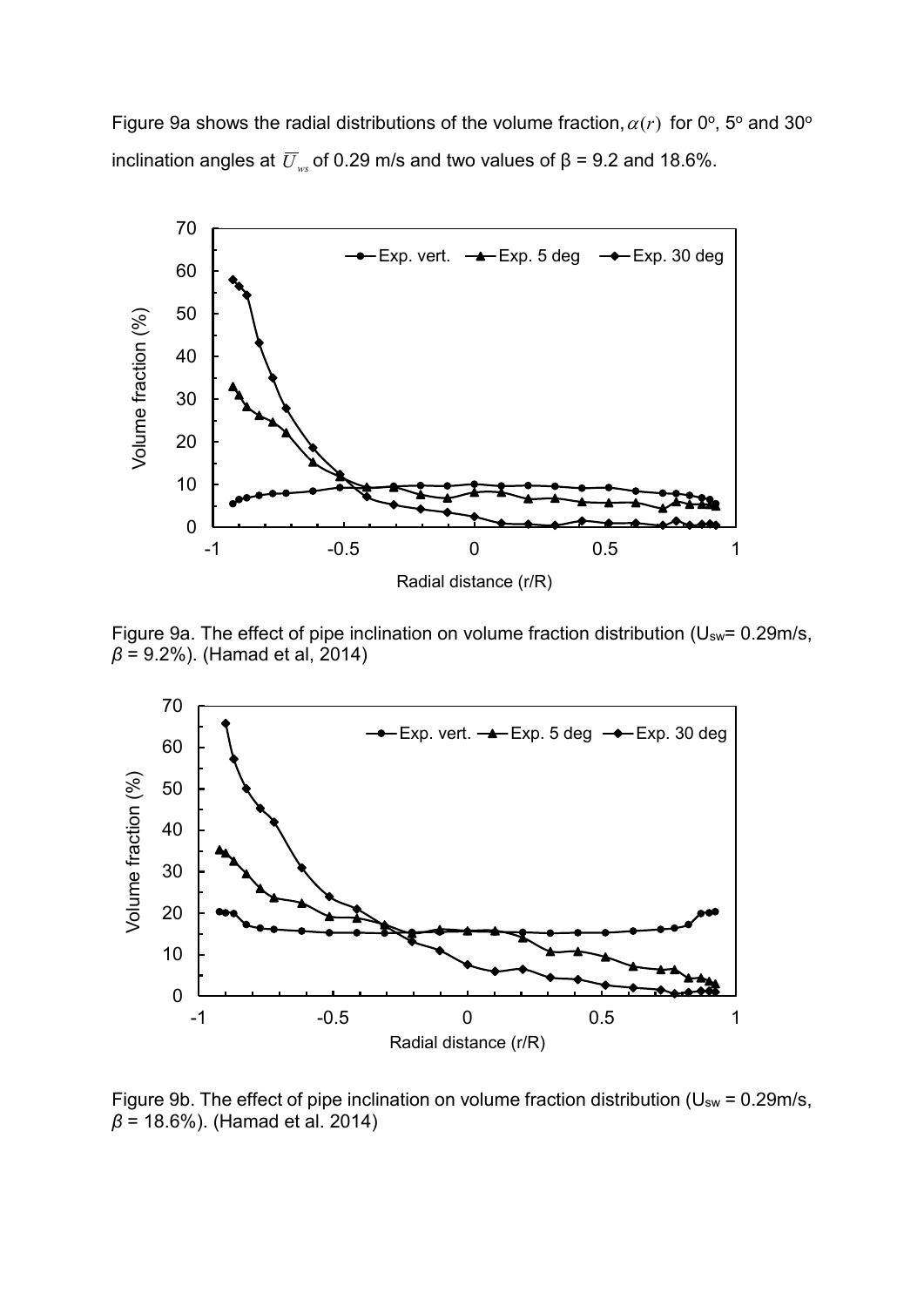Figure 9a shows the radial distributions of the volume fraction,  $\alpha(r)$  for 0°, 5° and 30° inclination angles at  $\overline{U}_{ws}$  of 0.29 m/s and two values of  $\beta$  = 9.2 and 18.6%.



Figure 9a. The effect of pipe inclination on volume fraction distribution (Usw= 0.29m/s, *β* = 9.2%). (Hamad et al, 2014)



Figure 9b. The effect of pipe inclination on volume fraction distribution ( $U_{sw}$  = 0.29m/s, *β* = 18.6%). (Hamad et al. 2014)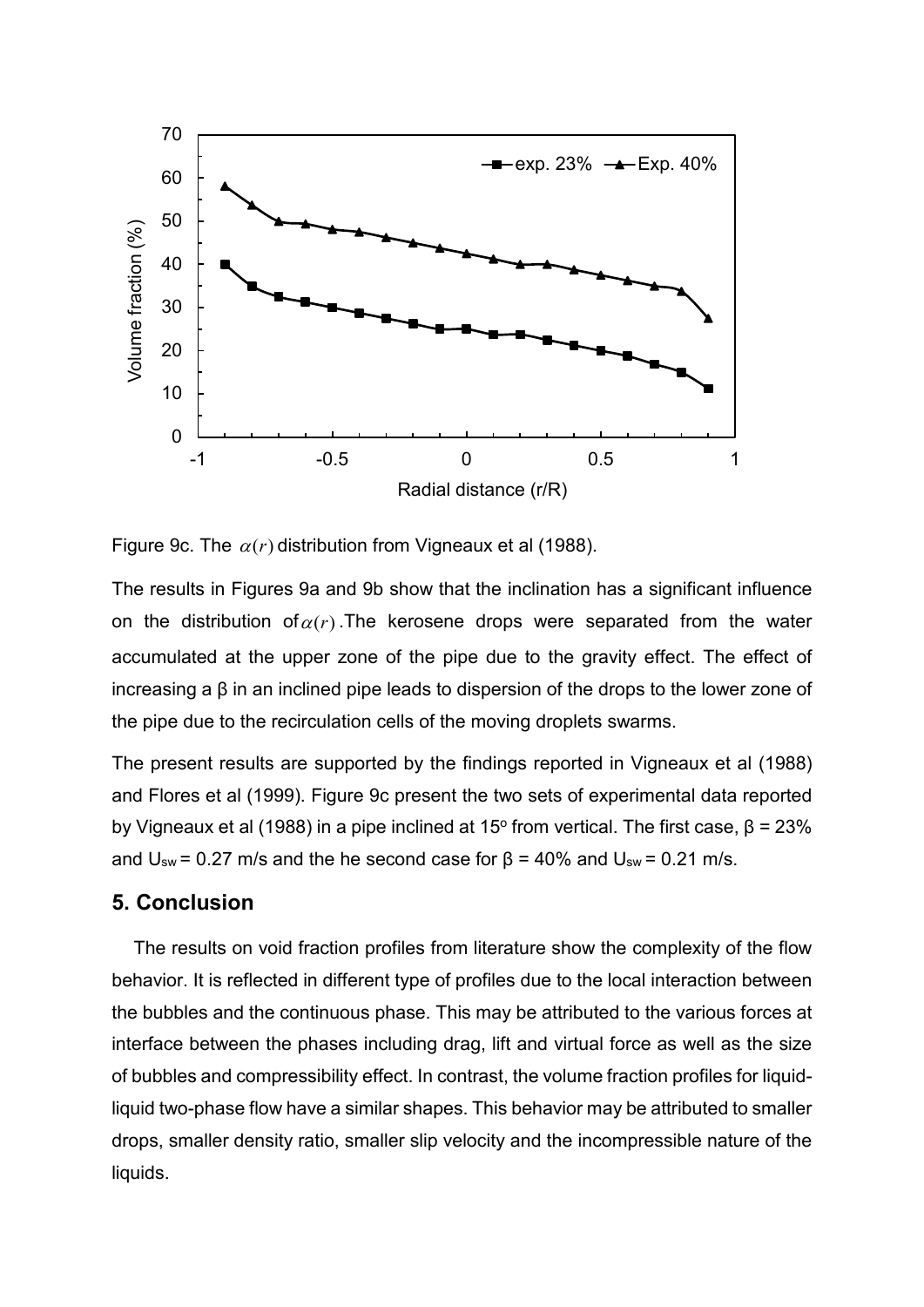

Figure 9c. The  $\alpha(r)$  distribution from Vigneaux et al (1988).

The results in Figures 9a and 9b show that the inclination has a significant influence on the distribution of  $\alpha(r)$ . The kerosene drops were separated from the water accumulated at the upper zone of the pipe due to the gravity effect. The effect of increasing a β in an inclined pipe leads to dispersion of the drops to the lower zone of the pipe due to the recirculation cells of the moving droplets swarms.

The present results are supported by the findings reported in Vigneaux et al (1988) and Flores et al (1999). Figure 9c present the two sets of experimental data reported by Vigneaux et al (1988) in a pipe inclined at 15<sup>o</sup> from vertical. The first case,  $β = 23%$ and  $U_{sw}$  = 0.27 m/s and the he second case for β = 40% and  $U_{sw}$  = 0.21 m/s.

#### **5. Conclusion**

The results on void fraction profiles from literature show the complexity of the flow behavior. It is reflected in different type of profiles due to the local interaction between the bubbles and the continuous phase. This may be attributed to the various forces at interface between the phases including drag, lift and virtual force as well as the size of bubbles and compressibility effect. In contrast, the volume fraction profiles for liquidliquid two-phase flow have a similar shapes. This behavior may be attributed to smaller drops, smaller density ratio, smaller slip velocity and the incompressible nature of the liquids.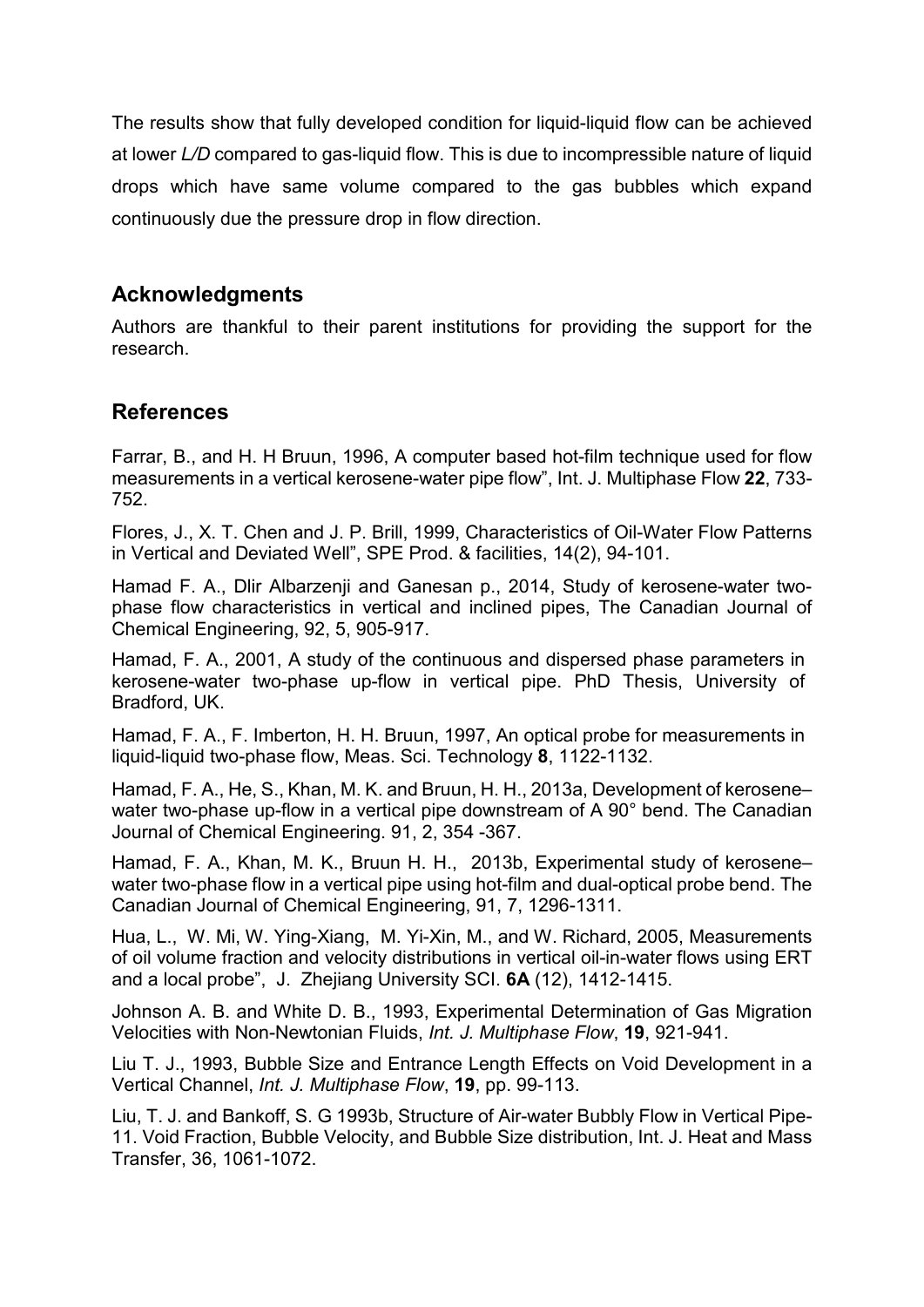The results show that fully developed condition for liquid-liquid flow can be achieved at lower *L/D* compared to gas-liquid flow. This is due to incompressible nature of liquid drops which have same volume compared to the gas bubbles which expand continuously due the pressure drop in flow direction.

# **Acknowledgments**

Authors are thankful to their parent institutions for providing the support for the research.

# **References**

Farrar, B., and H. H Bruun, 1996, A computer based hot-film technique used for flow measurements in a vertical kerosene-water pipe flow", Int. J. Multiphase Flow **22**, 733- 752.

Flores, J., X. T. Chen and J. P. Brill, 1999, Characteristics of Oil-Water Flow Patterns in Vertical and Deviated Well", SPE Prod. & facilities, 14(2), 94-101.

Hamad F. A., Dlir Albarzenji and Ganesan p., 2014, Study of kerosene-water twophase flow characteristics in vertical and inclined pipes, The Canadian Journal of Chemical Engineering, 92, 5, 905-917.

Hamad, F. A., 2001, A study of the continuous and dispersed phase parameters in kerosene-water two-phase up-flow in vertical pipe. PhD Thesis, University of Bradford, UK.

Hamad, F. A., F. Imberton, H. H. Bruun, 1997, An optical probe for measurements in liquid-liquid two-phase flow, Meas. Sci. Technology **8**, 1122-1132.

Hamad, F. A., He, S., Khan, M. K. and Bruun, H. H., 2013a, Development of kerosene– water two-phase up-flow in a vertical pipe downstream of A 90° bend. The Canadian Journal of Chemical Engineering. 91, 2, 354 -367.

Hamad, F. A., Khan, M. K., Bruun H. H., 2013b, Experimental study of kerosene– water two-phase flow in a vertical pipe using hot-film and dual-optical probe bend. The Canadian Journal of Chemical Engineering, 91, 7, 1296-1311.

Hua, L., W. Mi, W. Ying-Xiang, M. Yi-Xin, M., and W. Richard, 2005, Measurements of oil volume fraction and velocity distributions in vertical oil-in-water flows using ERT and a local probe", J. Zhejiang University SCI. **6A** (12), 1412-1415.

Johnson A. B. and White D. B., 1993, Experimental Determination of Gas Migration Velocities with Non-Newtonian Fluids, *Int. J. Multiphase Flow*, **19**, 921-941.

Liu T. J., 1993, Bubble Size and Entrance Length Effects on Void Development in a Vertical Channel, *Int. J. Multiphase Flow*, **19**, pp. 99-113.

Liu, T. J. and Bankoff, S. G 1993b, Structure of Air-water Bubbly Flow in Vertical Pipe-11. Void Fraction, Bubble Velocity, and Bubble Size distribution, Int. J. Heat and Mass Transfer, 36, 1061-1072.